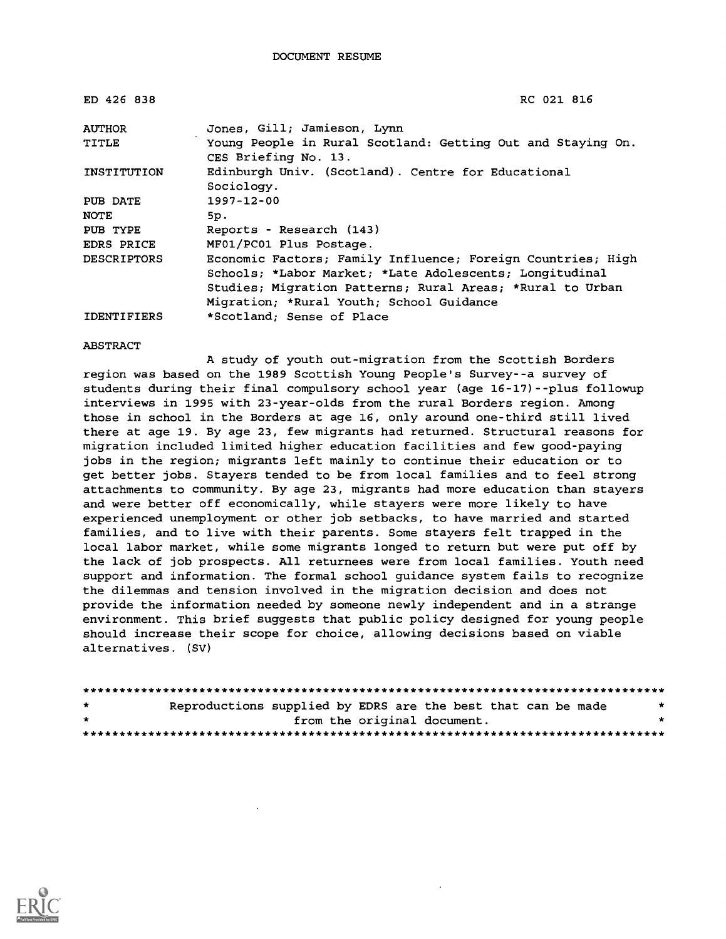| ED 426 838         | RC 021 816                                                                          |
|--------------------|-------------------------------------------------------------------------------------|
| <b>AUTHOR</b>      | Jones, Gill; Jamieson, Lynn                                                         |
| TITLE              | Young People in Rural Scotland: Getting Out and Staying On.<br>CES Briefing No. 13. |
| INSTITUTION        | Edinburgh Univ. (Scotland). Centre for Educational<br>Sociology.                    |
| PUB DATE           | $1997 - 12 - 00$                                                                    |
| <b>NOTE</b>        | 5p.                                                                                 |
| PUB TYPE           | Reports - Research (143)                                                            |
| <b>EDRS PRICE</b>  | MF01/PC01 Plus Postage.                                                             |
| <b>DESCRIPTORS</b> | Economic Factors; Family Influence; Foreign Countries; High                         |
|                    | Schools; *Labor Market; *Late Adolescents; Longitudinal                             |
|                    | Studies; Migration Patterns; Rural Areas; *Rural to Urban                           |
|                    | Migration; *Rural Youth; School Guidance                                            |
| <b>IDENTIFIERS</b> | *Scotland; Sense of Place                                                           |

#### ABSTRACT

A study of youth out-migration from the Scottish Borders region was based on the 1989 Scottish Young People's Survey--a survey of students during their final compulsory school year (age 16-17)--plus followup interviews in 1995 with 23-year-olds from the rural Borders region. Among those in school in the Borders at age 16, only around one-third still lived there at age 19. By age 23, few migrants had returned. Structural reasons for migration included limited higher education facilities and few good-paying jobs in the region; migrants left mainly to continue their education or to get better jobs. Stayers tended to be from local families and to feel strong attachments to community. By age 23, migrants had more education than stayers and were better off economically, while stayers were more likely to have experienced unemployment or other job setbacks, to have married and started families, and to live with their parents. Some stayers felt trapped in the local labor market, while some migrants longed to return but were put off by the lack of job prospects. All returnees were from local families. Youth need support and information. The formal school guidance system fails to recognize the dilemmas and tension involved in the migration decision and does not provide the information needed by someone newly independent and in a strange environment. This brief suggests that public policy designed for young people should increase their scope for choice, allowing decisions based on viable alternatives. (SV)

| $\star$ | Reproductions supplied by EDRS are the best that can be made |  |  |                             |  |  | * |
|---------|--------------------------------------------------------------|--|--|-----------------------------|--|--|---|
| $\star$ |                                                              |  |  | from the original document. |  |  |   |
|         |                                                              |  |  |                             |  |  |   |

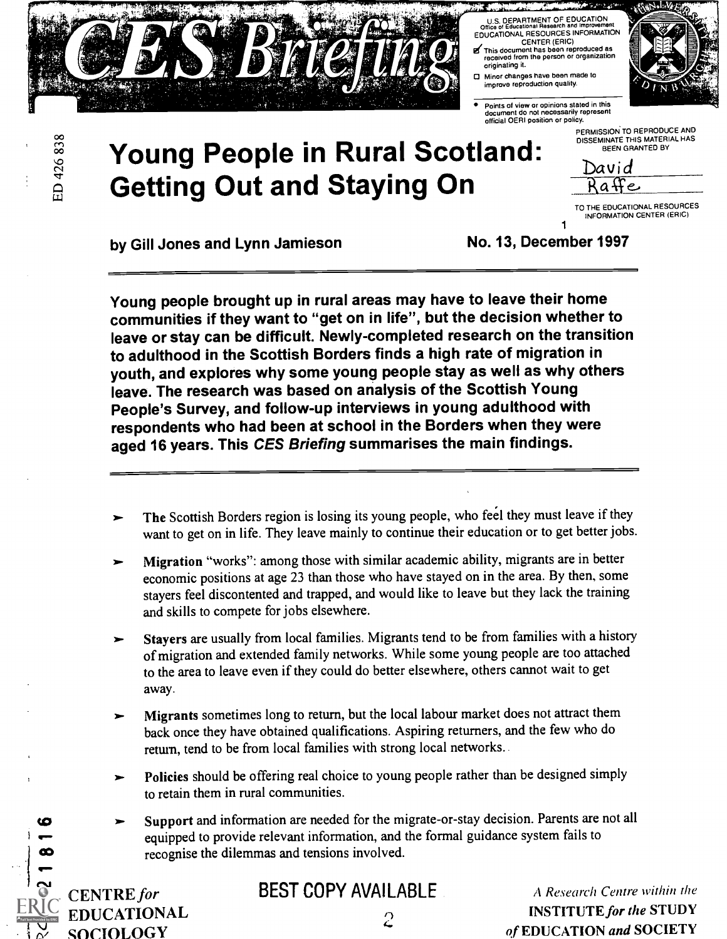

U.S. DEPARTMENT OF EDUCATION<br>Office of Educational Research and Improvement EDUCATIONAL RESOURCES INFORMATION CENTER (ERIC)

- **21.1** This document has been reproduced as<br>received from the person or organization originating it. O Minor changes have been made to
- Points of view or opinions stated in this document do not necessarily represent official OERI position or policy.

improve reproduction quality.



1

83<br>C3<br>C3  $\gamma$  and  $\gamma$ LL1

# Young People in Rural Scotland: David<br>Getting Out and Staying On Bassid

TO THE EDUCATIONAL RESOURCES INFORMATION CENTER (ERIC)

by Gill Jones and Lynn Jamieson No. 13, December 1997

Young people brought up in rural areas may have to leave their home communities if they want to "get on in life", but the decision whether to leave or stay can be difficult. Newly-completed research on the transition to adulthood in the Scottish Borders finds a high rate of migration in youth, and explores why some young people stay as well as why others leave. The research was based on analysis of the Scottish Young People's Survey, and follow-up interviews in young adulthood with respondents who had been at school in the Borders when they were aged 16 years. This CES Briefing summarises the main findings.

- The Scottish Borders region is losing its young people, who feel they must leave if they want to get on in life. They leave mainly to continue their education or to get better jobs.
- Migration "works": among those with similar academic ability, migrants are in better economic positions at age 23 than those who have stayed on in the area. By then, some stayers feel discontented and trapped, and would like to leave but they lack the training and skills to compete for jobs elsewhere.
- Stayers are usually from local families. Migrants tend to be from families with a history of migration and extended family networks. While some young people are too attached to the area to leave even if they could do better elsewhere, others cannot wait to get away.
- Migrants sometimes long to return, but the local labour market does not attract them back once they have obtained qualifications. Aspiring returners, and the fewwho do return, tend to be from local families with strong local networks.
- Policies should be offering real choice to young people rather than be designed simply to retain them in rural communities.
- Support and information are needed for the migrate-or-stay decision. Parents are not all equipped to provide relevant information, and the formal guidance system fails to recognise the dilemmas and tensions involved.

**CENTRE** for  $EDUCATIONAL$  2

**BEST COPY AVAILABLE** A Research Centre within the A Research Centre within the **STUDY**  $\sim$  of EDUCATION and SOCIETY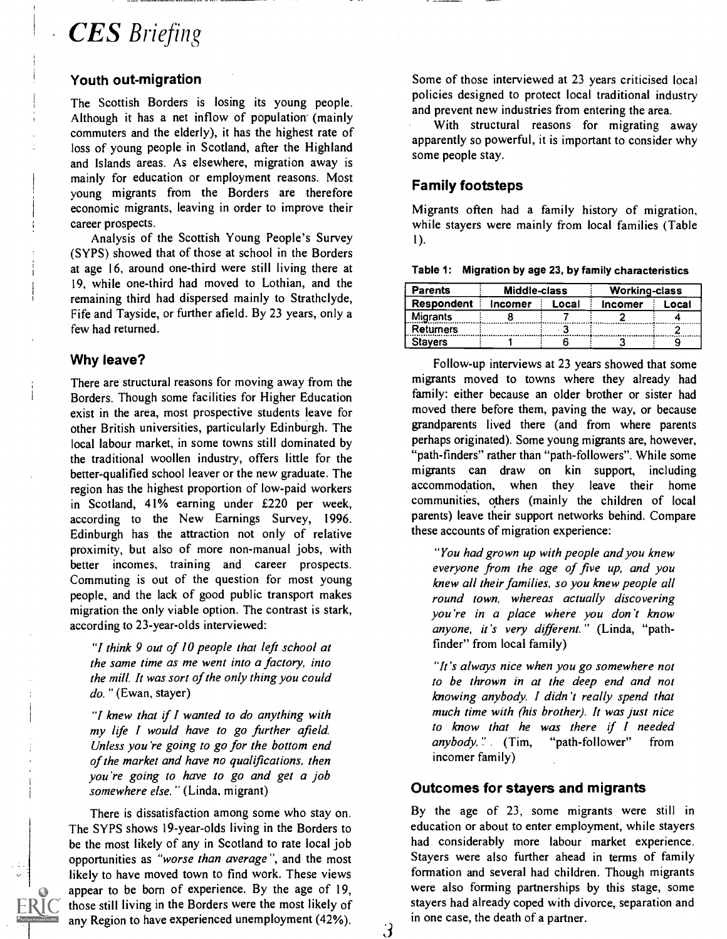# **CES** Briefing

#### Youth out-migration

The Scottish Borders is losing its young people. Although it has a net inflow of population (mainly commuters and the elderly), it has the highest rate of loss of young people in Scotland, after the Highland and Islands areas. As elsewhere, migration away is mainly for education or employment reasons. Most young migrants from the Borders are therefore economic migrants, leaving in order to improve their career prospects.

Analysis of the Scottish Young People's Survey (SYPS) showed that of those at school in the Borders at age 16, around one-third were still living there at 19, while one-third had moved to Lothian, and the remaining third had dispersed mainly to Strathclyde, Fife and Tayside, or further afield. By 23 years, only a few had returned.

#### Why leave?

There are structural reasons for moving away from the Borders. Though some facilities for Higher Education exist in the area, most prospective students leave for other British universities, particularly Edinburgh. The local labour market, in some towns still dominated by the traditional woollen industry, offers little for the better-qualified school leaver or the new graduate. The region has the highest proportion of low-paid workers in Scotland, 41% earning under £220 per week, according to the New Earnings Survey, 1996. Edinburgh has the attraction not only of relative proximity, but also of more non-manual jobs, with better incomes, training and career prospects. Commuting is out of the question for most young people, and the lack of good public transport makes migration the only viable option. The contrast is stark, according to 23-year-olds interviewed:

"/ think 9 out of 10 people that left school at the same time as me went into a factory, into the mill. It was sort of the only thing you could do." (Ewan, stayer)

"1 knew that if I wanted to do anything with my life I would have to go further afield. Unless you're going to go for the bottom end of the market and have no qualifications, then you're going to have to go and get a job somewhere else." (Linda, migrant)

There is dissatisfaction among some who stay on. The SYPS shows 19-year-olds living in the Borders to be the most likely of any in Scotland to rate local job opportunities as "worse than average", and the most likely to have moved town to find work. These views appear to be born of experience. By the age of 19, those still living in the Borders were the most likely of any Region to have experienced unemployment (42%).  $\qquad \qquad$   $\qquad \qquad$  Some of those interviewed at 23 years criticised local policies designed to protect local traditional industry and prevent new industries from entering the area.

With structural reasons for migrating away apparently so powerful, it is important to consider why some people stay.

#### Family footsteps

Migrants often had a family history of migration, while stayers were mainly from local families (Table 1).

| <b>Parents</b>  | Middle-class |       | <b>Working-class</b> |       |  |
|-----------------|--------------|-------|----------------------|-------|--|
| Respondent      | Incomer      | Local | <b>Incomer</b>       | Local |  |
| <b>Migrants</b> |              |       |                      |       |  |
| Returners       |              |       |                      |       |  |
| Stavers         |              |       |                      |       |  |

Follow-up interviews at 23 years showed that some migrants moved to towns where they already had family: either because an older brother or sister had moved there before them, paving the way, or because grandparents lived there (and from where parents perhaps originated). Some young migrants are, however, "path-finders" rather than "path-followers". While some migrants can draw on kin support, including accommodation, when they leave their home communities, others (mainly the children of local parents) leave their support networks behind. Compare these accounts of migration experience:

"You had grown up with people and you knew everyone from the age of five up, and you knew all their families, so you knew people all round town, whereas actually discovering you're in a place where you don't know anyone, it's very different." (Linda, "pathfinder" from local family)

"/t 's always nice when you go somewhere not to be thrown in at the deep end and not knowing anybody. I didn't really spend that much time with (his brother). It was just nice to know that he was there if I needed anybody." (Tim, "path-follower" from incomer family)

#### Outcomes for stayers and migrants

By the age of 23, some migrants were still in education or about to enter employment, while stayers had considerably more labour market experience. Stayers were also further ahead in terms of family formation and several had children. Though migrants were also forming partnerships by this stage, some stayers had already coped with divorce, separation and in one case, the death of a partner.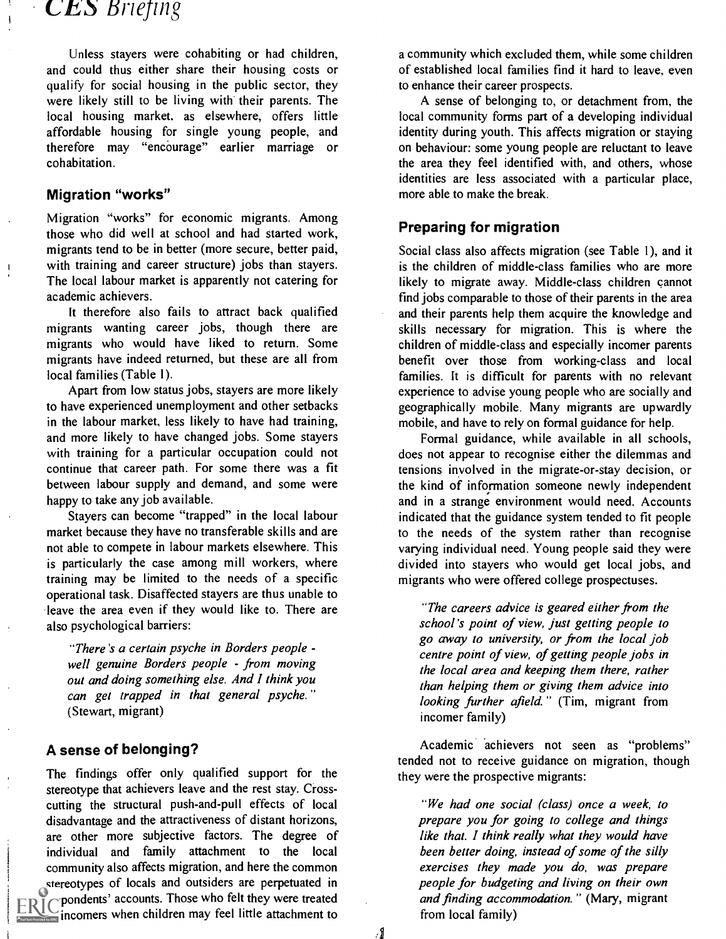# **CES** Briefing

Unless stayers were cohabiting or had children, and could thus either share their housing costs or qualify for social housing in the public sector, they were likely still to be living with their parents. The local housing market, as elsewhere, offers little affordable housing for single young people, and therefore may "encourage" earlier marriage or cohabitation.

#### Migration "works"

Migration "works" for economic migrants. Among those who did well at school and had started work, migrants tend to be in better (more secure, better paid, with training and career structure) jobs than stayers. The local labour market is apparently not catering for academic achievers.

It therefore also fails to attract back qualified migrants wanting career jobs, though there are migrants who would have liked to return. Some migrants have indeed returned, but these are all from local families (Table 1).

Apart from low status jobs, stayers are more likely to have experienced unemployment and other setbacks in the labour market, less likely to have had training, and more likely to have changed jobs. Some stayers with training for a particular occupation could not continue that career path. For some there was a fit between labour supply and demand, and some were happy to take any job available.

Stayers can become "trapped" in the local labour market because they have no transferable skills and are not able to compete in labour markets elsewhere. This is particularly the case among mill workers, where training may be limited to the needs of a specific operational task. Disaffected stayers are thus unable to leave the area even if they would like to. There are also psychological barriers:

"There's a certain psyche in Borders people well genuine Borders people - from moving out and doing something else. And I think you can get trapped in that general psyche." (Stewart, migrant)

#### A sense of belonging?

The findings offer only qualified support for the stereotype that achievers leave and the rest stay. Crosscutting the structural push-and-pull effects of local disadvantage and the attractiveness of distant horizons, are other more subjective factors. The degree of individual and family attachment to the local community also affects migration, and here the common stereotypes of locals and outsiders are perpetuated in  $ERIC$  pondents' accounts. Those who felt they were treated  $\sum$  incomers when children may feel little attachment to

a community which excluded them, while some children of established local families find it hard to leave, even to enhance their career prospects.

A sense of belonging to, or detachment from, the local community forms part of a developing individual identity during youth. This affects migration or staying on behaviour: some young people are reluctant to leave the area they feel identified with, and others, whose identities are less associated with a particular place, more able to make the break.

#### Preparing for migration

Social class also affects migration (see Table 1), and it is the children of middle-class families who are more likely to migrate away. Middle-class children cannot find jobs comparable to those of their parents in the area and their parents help them acquire the knowledge and skills necessary for migration. This is where the children of middle-class and especially incomer parents benefit over those from working-class and local families. It is difficult for parents with no relevant experience to advise young people who are socially and geographically mobile. Many migrants are upwardly mobile, and have to rely on formal guidance for help.

Formal guidance, while available in all schools, does not appear to recognise either the dilemmas and tensions involved in the migrate-or-stay decision, or the kind of information someone newly independent and in a strange environment would need. Accounts indicated that the guidance system tended to fit people to the needs of the system rather than recognise varying individual need. Young people said they were divided into stayers who would get local jobs, and migrants who were offered college prospectuses.

"The careers advice is geared either from the school's point of view, just getting people to go away to university, or from the local job centre point of view, of getting people jobs in the local area and keeping them there, rather than helping them or giving them advice into looking further afield." (Tim, migrant from incomer family)

Academic achievers not seen as "problems" tended not to receive guidance on migration, though they were the prospective migrants:

"We had one social (class) once a week, to prepare you for going to college and things like that. I think really what they would have been better doing, instead of some of the silly exercises they made you do, was prepare people for budgeting and living on their own and finding accommodation." (Mary, migrant from local family)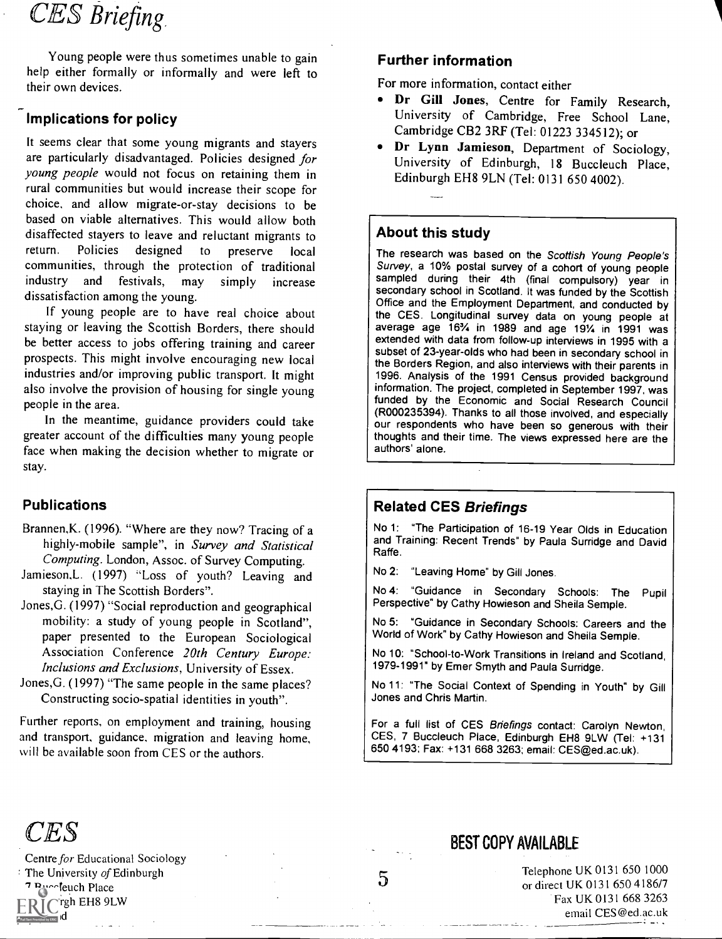# CES Briefing

Young people were thus sometimes unable to gain help either formally or informally and were left to their own devices.

#### Implications for policy

It seems clear that some young migrants and stayers are particularly disadvantaged. Policies designed for young people would not focus on retaining them in rural communities but would increase their scope for choice, and allow migrate-or-stay decisions to be based on viable alternatives. This would allow both disaffected stayers to leave and reluctant migrants to return. Policies designed to preserve local communities, through the protection of traditional industry and festivals, may simply increase dissatisfaction among the young.

If young people are to have real choice about staying or leaving the Scottish Borders, there should be better access to jobs offering training and career prospects. This might involve encouraging new local industries and/or improving public transport. It might also involve the provision of housing for single young people in the area.

In the meantime, guidance providers could take greater account of the difficulties many young people face when making the decision whether to migrate or stay.

#### Publications

Brannen,K. (1996). "Where are they now? Tracing of a highly-mobile sample", in Survey and Statistical Computing. London, Assoc. of Survey Computing.

Jamieson.L. (1997) "Loss of youth? Leaving and staying in The Scottish Borders".

- Jones,G. (1997) "Social reproduction and geographical mobility: a study of young people in Scotland", paper presented to the European Sociological Association Conference 20th Century Europe: Inclusions and Exclusions, University of Essex.
- Jones,G. (1997) "The same people in the same places? Constructing socio-spatial identities in youth".

Further reports, on employment and training, housing and transport. guidance, migration and leaving home, will be available soon from CES or the authors.

#### Further information

For more information, contact either

- Dr Gill Jones, Centre for Family Research, University of Cambridge, Free School Lane, Cambridge CB2 3RF (Tel: 01223 334512); or
- Dr Lynn Jamieson, Department of Sociology, University of Edinburgh, 18 Buccleuch Place, Edinburgh EH8 9LN (Tel: 0131 650 4002).

#### About this study

The research was based on the Scottish Young People's Survey, a 10% postal survey of a cohort of young people sampled during their 4th (final compulsory) year in secondary school in Scotland. It was funded by the Scottish Office and the Employment Department, and conducted by the CES. Longitudinal survey data on young people at average age 16% in 1989 and age 19% in 1991 was extended with data from follow-up interviews in 1995 with a subset of 23-year-olds who had been in secondary school in the Borders Region, and also interviews with their parents in 1996. Analysis of the 1991 Census provided background information. The project, completed in September 1997, was funded by the Economic and Social Research Council (R000235394). Thanks to all those involved, and especially our respondents who have been so generous with their thoughts and their time. The views expressed here are the authors' alone.

#### Related CES Briefings

No 1: "The Participation of 16-19 Year Olds in Education and Training: Recent Trends" by Paula Surridge and David Raffe.

No 2: "Leaving Home" by Gill Jones.

No 4: "Guidance in Secondary Schools: The Pupil Perspective" by Cathy Howieson and Sheila Semple.

No 5: "Guidance in Secondary Schools: Careers and the World of Work" by Cathy Howieson and Sheila Semple.

No 10: "School-to-Work Transitions in Ireland and Scotland, 1979-1991" by Emer Smyth and Paula Surridge.

No 11: "The Social Context of Spending in Youth" by Gill Jones and Chris Martin.

For a full list of CES Briefings contact: Carolyn Newton, CES, 7 Buccleuch Place, Edinburgh EH8 9LW (Tel: +131 650 4193; Fax: +131 668 3263; email: CES@ed.ac.uk).



Centre for Educational Sociology The University of Edinburgh <sup>7</sup> Buccleuch Place

rgh EH8 9LW Text Provided by ERIC IC

## BEST COPY AVAILABLE

5

Telephone UK 0131 650 1000 or direct UK 0131 650 4186/7 Fax UK 0131 668 3263 email CES@ed.ac.uk :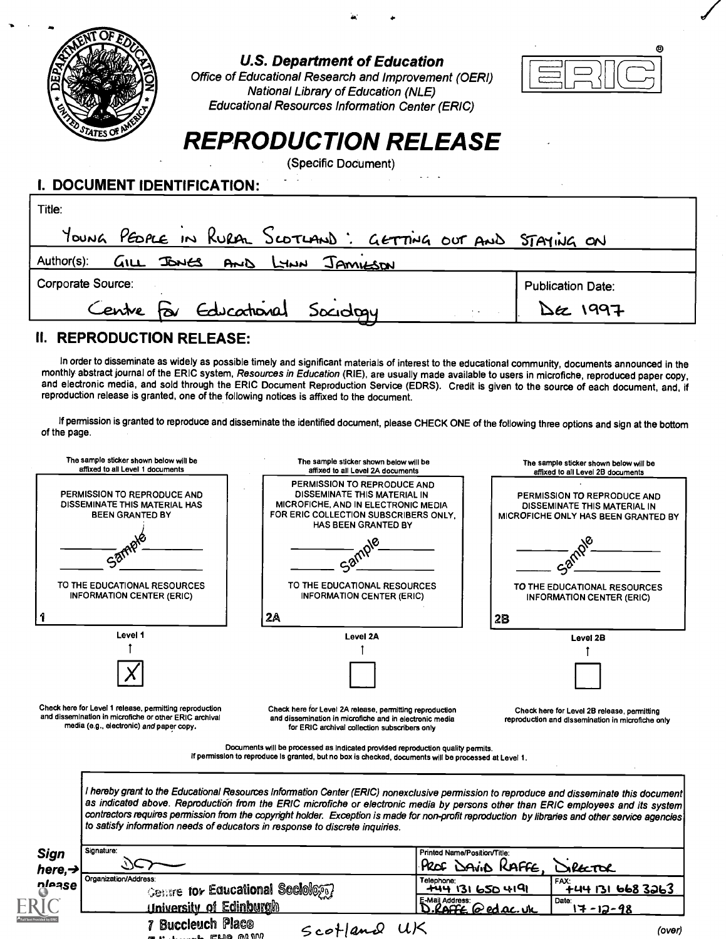

#### U.S. Department of Education

Office of Educational Research and Improvement (OERI) National Library of Education (NLE) Educational Resources Information Center (ERIC)



# REPRODUCTION RELEASE

(Specific Document)

#### I. DOCUMENT IDENTIFICATION:

| Title:                                                     |                          |
|------------------------------------------------------------|--------------------------|
| YOUNG PEDPLE IN RURAL SCOTLAND: GETTING OUT AND STAYING ON |                          |
| GILL JONES AND LYNN JAMILSON<br>Author(s):                 |                          |
| Corporate Source:                                          | <b>Publication Date:</b> |
| Centre For Educational Sociology                           | Dec 1997                 |

#### II. REPRODUCTION RELEASE:

In order to disseminate as widely as possible timely and significant materials of interest to the educational community, documents announced in the monthly abstract journal of the ERIC system, Resources in Education (RIE), are usually made available to users in microfiche, reproduced paper copy, and electronic media, and sold through the ERIC Document Reproduction Service (EDRS). Credit is given to the source of each document, and, if reproduction release is granted, one of the following notices is affixed to the document.

If permission is granted to reproduce and disseminate the identified document, please CHECK ONE of the following three options and sign at the bottom of the page.



7 Buccieuch Placo reline aft Mt

 $5c$ - $1$ an $0$   $u$  $K$  (over)

ed ac.

Date:<br> $17 - 12 - 98$